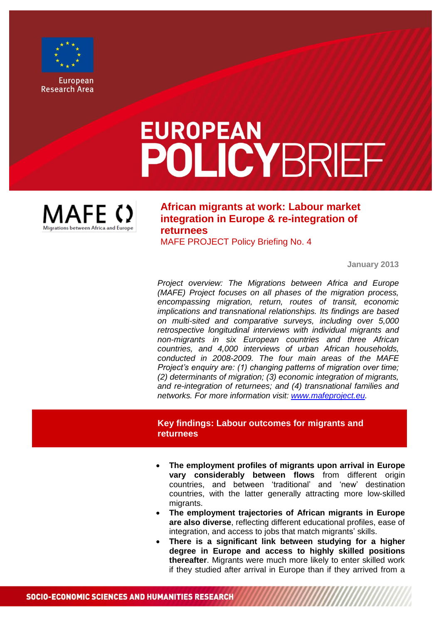

**European Research Area** 

# **EUROPEAN POLICYBRIEF**



**African migrants at work: Labour market integration in Europe & re-integration of returnees**

MAFE PROJECT Policy Briefing No. 4

**January 2013**

*Project overview: The Migrations between Africa and Europe (MAFE) Project focuses on all phases of the migration process, encompassing migration, return, routes of transit, economic implications and transnational relationships. Its findings are based on multi-sited and comparative surveys, including over 5,000 retrospective longitudinal interviews with individual migrants and non-migrants in six European countries and three African countries, and 4,000 interviews of urban African households, conducted in 2008-2009. The four main areas of the MAFE Project's enquiry are: (1) changing patterns of migration over time; (2) determinants of migration; (3) economic integration of migrants, and re-integration of returnees; and (4) transnational families and networks. For more information visit: [www.mafeproject.eu.](http://www.mafeproject.eu/)*

## **Key findings: Labour outcomes for migrants and returnees**

- **The employment profiles of migrants upon arrival in Europe vary considerably between flows** from different origin countries, and between 'traditional' and 'new' destination countries, with the latter generally attracting more low-skilled migrants.
- **The employment trajectories of African migrants in Europe are also diverse**, reflecting different educational profiles, ease of integration, and access to jobs that match migrants' skills.
- **There is a significant link between studying for a higher degree in Europe and access to highly skilled positions thereafter**. Migrants were much more likely to enter skilled work if they studied after arrival in Europe than if they arrived from a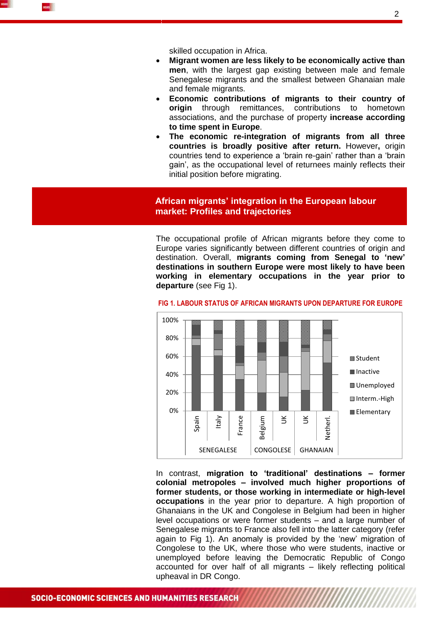

skilled occupation in Africa.

- **Migrant women are less likely to be economically active than men**, with the largest gap existing between male and female Senegalese migrants and the smallest between Ghanaian male and female migrants.
- **Economic contributions of migrants to their country of origin** through remittances, contributions to hometown associations, and the purchase of property **increase according to time spent in Europe**.
- **The economic re-integration of migrants from all three countries is broadly positive after return.** However**,** origin countries tend to experience a 'brain re-gain' rather than a 'brain gain', as the occupational level of returnees mainly reflects their initial position before migrating.

# **African migrants' integration in the European labour market: Profiles and trajectories**

The occupational profile of African migrants before they come to Europe varies significantly between different countries of origin and destination. Overall, **migrants coming from Senegal to 'new' destinations in southern Europe were most likely to have been working in elementary occupations in the year prior to departure** (see Fig 1).



#### **FIG 1. LABOUR STATUS OF AFRICAN MIGRANTS UPON DEPARTURE FOR EUROPE**

In contrast, **migration to 'traditional' destinations – former colonial metropoles – involved much higher proportions of former students, or those working in intermediate or high-level occupations** in the year prior to departure. A high proportion of Ghanaians in the UK and Congolese in Belgium had been in higher level occupations or were former students – and a large number of Senegalese migrants to France also fell into the latter category (refer again to Fig 1). An anomaly is provided by the 'new' migration of Congolese to the UK, where those who were students, inactive or unemployed before leaving the Democratic Republic of Congo accounted for over half of all migrants – likely reflecting political upheaval in DR Congo.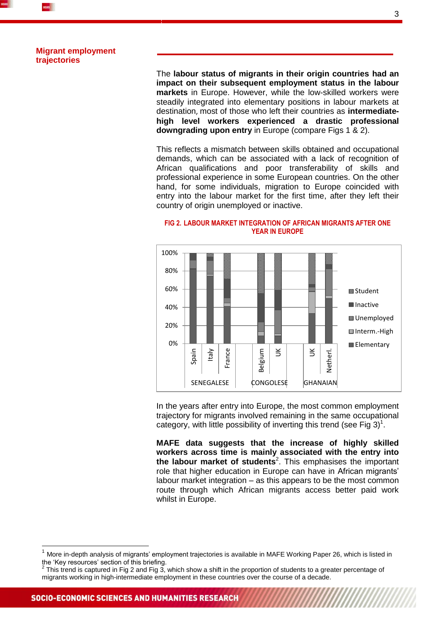

### **Migrant employment trajectories**

The **labour status of migrants in their origin countries had an impact on their subsequent employment status in the labour markets** in Europe. However, while the low-skilled workers were steadily integrated into elementary positions in labour markets at destination, most of those who left their countries as **intermediatehigh level workers experienced a drastic professional downgrading upon entry** in Europe (compare Figs 1 & 2).

This reflects a mismatch between skills obtained and occupational demands, which can be associated with a lack of recognition of African qualifications and poor transferability of skills and professional experience in some European countries. On the other hand, for some individuals, migration to Europe coincided with entry into the labour market for the first time, after they left their country of origin unemployed or inactive.



## **FIG 2. LABOUR MARKET INTEGRATION OF AFRICAN MIGRANTS AFTER ONE YEAR IN EUROPE**

In the years after entry into Europe, the most common employment trajectory for migrants involved remaining in the same occupational category, with little possibility of inverting this trend (see Fig  $3)^1$ .

**MAFE data suggests that the increase of highly skilled workers across time is mainly associated with the entry into the labour market of students**<sup>2</sup> . This emphasises the important role that higher education in Europe can have in African migrants' labour market integration – as this appears to be the most common route through which African migrants access better paid work whilst in Europe.

 $\overline{1}$ 

More in-depth analysis of migrants' employment trajectories is available in MAFE Working Paper 26, which is listed in the 'Key resources' section of this briefing.<br><sup>2</sup> This trand is contured in Fig. 2 and Fig. 2.

This trend is captured in Fig 2 and Fig 3, which show a shift in the proportion of students to a greater percentage of migrants working in high-intermediate employment in these countries over the course of a decade.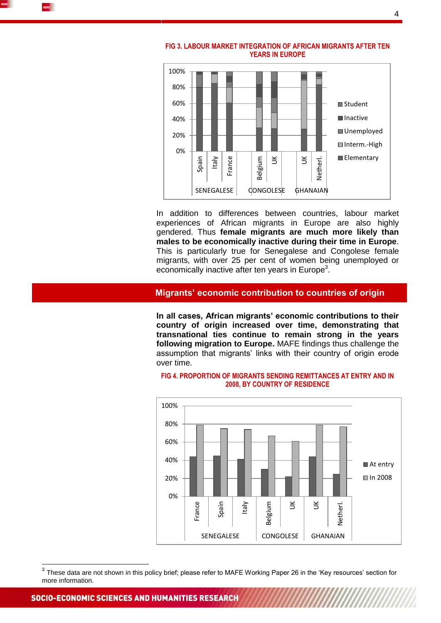



**FIG 3. LABOUR MARKET INTEGRATION OF AFRICAN MIGRANTS AFTER TEN YEARS IN EUROPE**

In addition to differences between countries, labour market experiences of African migrants in Europe are also highly gendered. Thus **female migrants are much more likely than males to be economically inactive during their time in Europe**. This is particularly true for Senegalese and Congolese female migrants, with over 25 per cent of women being unemployed or economically inactive after ten years in Europe<sup>3</sup>.

## **Migrants' economic contribution to countries of origin**

**In all cases, African migrants' economic contributions to their country of origin increased over time, demonstrating that transnational ties continue to remain strong in the years following migration to Europe.** MAFE findings thus challenge the assumption that migrants' links with their country of origin erode over time.



### **FIG 4. PROPORTION OF MIGRANTS SENDING REMITTANCES AT ENTRY AND IN 2008, BY COUNTRY OF RESIDENCE**

 $\overline{1}$ 

 $^3$  These data are not shown in this policy brief; please refer to MAFE Working Paper 26 in the 'Key resources' section for more information.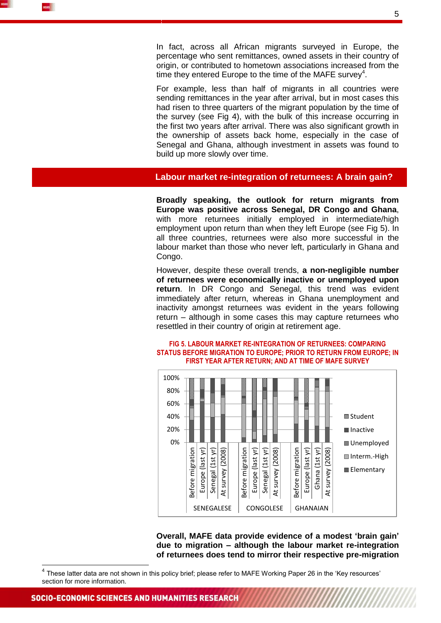

In fact, across all African migrants surveyed in Europe, the percentage who sent remittances, owned assets in their country of origin, or contributed to hometown associations increased from the time they entered Europe to the time of the MAFE survey<sup>4</sup>.

For example, less than half of migrants in all countries were sending remittances in the year after arrival, but in most cases this had risen to three quarters of the migrant population by the time of the survey (see Fig 4), with the bulk of this increase occurring in the first two years after arrival. There was also significant growth in the ownership of assets back home, especially in the case of Senegal and Ghana, although investment in assets was found to build up more slowly over time.

## **Labour market re-integration of returnees: A brain gain?**

**Broadly speaking, the outlook for return migrants from Europe was positive across Senegal, DR Congo and Ghana**, with more returnees initially employed in intermediate/high employment upon return than when they left Europe (see Fig 5). In all three countries, returnees were also more successful in the labour market than those who never left, particularly in Ghana and Congo.

However, despite these overall trends, **a non-negligible number of returnees were economically inactive or unemployed upon return**. In DR Congo and Senegal, this trend was evident immediately after return, whereas in Ghana unemployment and inactivity amongst returnees was evident in the years following return – although in some cases this may capture returnees who resettled in their country of origin at retirement age.





**Overall, MAFE data provide evidence of a modest 'brain gain' due to migration – although the labour market re-integration of returnees does tend to mirror their respective pre-migration** 

-

<sup>&</sup>lt;sup>4</sup> These latter data are not shown in this policy brief; please refer to MAFE Working Paper 26 in the 'Key resources' section for more information.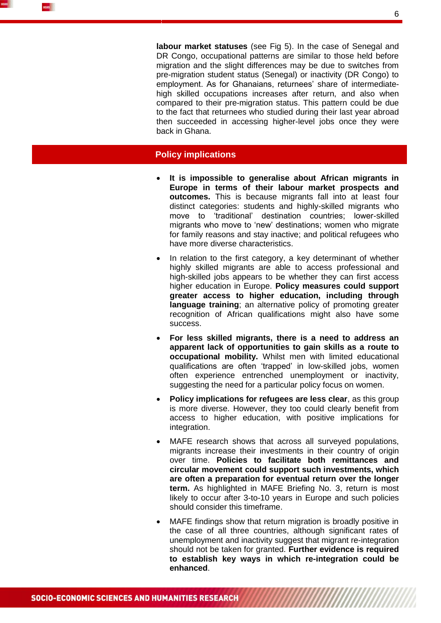

**labour market statuses** (see Fig 5). In the case of Senegal and DR Congo, occupational patterns are similar to those held before migration and the slight differences may be due to switches from pre-migration student status (Senegal) or inactivity (DR Congo) to employment. As for Ghanaians, returnees' share of intermediatehigh skilled occupations increases after return, and also when compared to their pre-migration status. This pattern could be due to the fact that returnees who studied during their last year abroad then succeeded in accessing higher-level jobs once they were back in Ghana.

# **Policy implications**

- **It is impossible to generalise about African migrants in Europe in terms of their labour market prospects and outcomes.** This is because migrants fall into at least four distinct categories: students and highly-skilled migrants who move to 'traditional' destination countries; lower-skilled migrants who move to 'new' destinations; women who migrate for family reasons and stay inactive; and political refugees who have more diverse characteristics.
- In relation to the first category, a key determinant of whether highly skilled migrants are able to access professional and high-skilled jobs appears to be whether they can first access higher education in Europe. **Policy measures could support greater access to higher education, including through language training**; an alternative policy of promoting greater recognition of African qualifications might also have some success.
- **For less skilled migrants, there is a need to address an apparent lack of opportunities to gain skills as a route to occupational mobility.** Whilst men with limited educational qualifications are often 'trapped' in low-skilled jobs, women often experience entrenched unemployment or inactivity, suggesting the need for a particular policy focus on women.
- **Policy implications for refugees are less clear**, as this group is more diverse. However, they too could clearly benefit from access to higher education, with positive implications for integration.
- MAFE research shows that across all surveyed populations, migrants increase their investments in their country of origin over time. **Policies to facilitate both remittances and circular movement could support such investments, which are often a preparation for eventual return over the longer term.** As highlighted in MAFE Briefing No. 3, return is most likely to occur after 3-to-10 years in Europe and such policies should consider this timeframe.
- MAFE findings show that return migration is broadly positive in the case of all three countries, although significant rates of unemployment and inactivity suggest that migrant re-integration should not be taken for granted. **Further evidence is required to establish key ways in which re-integration could be enhanced**.

<u>MAAAAAAAAAAAAAAAA</u>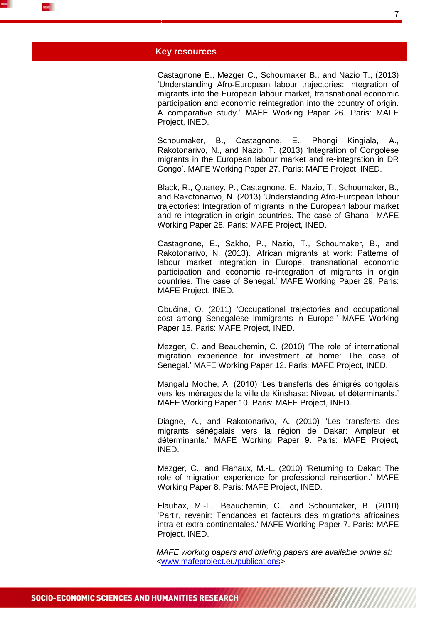

#### **Key resources**

Castagnone E., Mezger C., Schoumaker B., and Nazio T., (2013) 'Understanding Afro-European labour trajectories: Integration of migrants into the European labour market, transnational economic participation and economic reintegration into the country of origin. A comparative study.' MAFE Working Paper 26. Paris: MAFE Project, INED.

Schoumaker, B., Castagnone, E., Phongi Kingiala, A., Rakotonarivo, N., and Nazio, T. (2013) 'Integration of Congolese migrants in the European labour market and re-integration in DR Congo'. MAFE Working Paper 27. Paris: MAFE Project, INED.

Black, R., Quartey, P., Castagnone, E., Nazio, T., Schoumaker, B., and Rakotonarivo, N. (2013) 'Understanding Afro-European labour trajectories: Integration of migrants in the European labour market and re-integration in origin countries. The case of Ghana.' MAFE Working Paper 28. Paris: MAFE Project, INED.

Castagnone, E., Sakho, P., Nazio, T., Schoumaker, B., and Rakotonarivo, N. (2013). 'African migrants at work: Patterns of labour market integration in Europe, transnational economic participation and economic re-integration of migrants in origin countries. The case of Senegal.' MAFE Working Paper 29. Paris: MAFE Project, INED.

Obućina, O. (2011) 'Occupational trajectories and occupational cost among Senegalese immigrants in Europe.' MAFE Working Paper 15. Paris: MAFE Project, INED.

Mezger, C. and Beauchemin, C. (2010) 'The role of international migration experience for investment at home: The case of Senegal.' MAFE Working Paper 12. Paris: MAFE Project, INED.

Mangalu Mobhe, A. [\(2010\) 'Les transferts des émigrés congolais](http://www.ined.fr/fichier/t_telechargement/41845/telechargement_fichier_fr_wp10_mobhe_2010.pdf)  [vers les ménages de la ville de Kinshasa: Niveau et déterminants.'](http://www.ined.fr/fichier/t_telechargement/41845/telechargement_fichier_fr_wp10_mobhe_2010.pdf) MAFE Working Paper 10. Paris: MAFE Project, INED.

Diagne, A., and Rakotonarivo, A. (2010) ['Les transferts des](http://www.ined.fr/fichier/t_telechargement/41830/telechargement_fichier_fr_wp9_diagne.rakotonarivo_2010.pdf)  [migrants sénégalais vers la région de](http://www.ined.fr/fichier/t_telechargement/41830/telechargement_fichier_fr_wp9_diagne.rakotonarivo_2010.pdf) Dakar: Ampleur et [déterminants.' MAFE Working Paper 9. Paris: MAFE Project,](http://www.ined.fr/fichier/t_telechargement/41830/telechargement_fichier_fr_wp9_diagne.rakotonarivo_2010.pdf)  [INED.](http://www.ined.fr/fichier/t_telechargement/41830/telechargement_fichier_fr_wp9_diagne.rakotonarivo_2010.pdf) 

Mezger, C., and Flahaux, M.-L. [\(2010\) 'Returning to Dakar: The](http://www.ined.fr/fichier/t_telechargement/41829/telechargement_fichier_fr_wp8_mezger.flahaux_2010.pdf)  [role of migration experience for professional reinsertion.'](http://www.ined.fr/fichier/t_telechargement/41829/telechargement_fichier_fr_wp8_mezger.flahaux_2010.pdf) MAFE Working Paper 8. Paris: MAFE Project, INED.

[Flauhax, M.-L., Beauchemin, C., and Schoumaker, B.](http://www.ined.fr/fichier/t_telechargement/41828/telechargement_fichier_fr_wp7_flahaux_etal_2010.pdf) (2010) ['Partir, revenir: Tendances et facteurs des migrations africaines](http://www.ined.fr/fichier/t_telechargement/41828/telechargement_fichier_fr_wp7_flahaux_etal_2010.pdf)  intra et extra-continentales.' [MAFE Working Paper 7. Paris: MAFE](http://www.ined.fr/fichier/t_telechargement/41828/telechargement_fichier_fr_wp7_flahaux_etal_2010.pdf)  [Project, INED.](http://www.ined.fr/fichier/t_telechargement/41828/telechargement_fichier_fr_wp7_flahaux_etal_2010.pdf)

*MAFE working papers and briefing papers are available online at:*  [<www.mafeproject.eu/publications>](http://www.mafeproject.eu/publications)

**MAAAAAAAAAAAAAAAA**